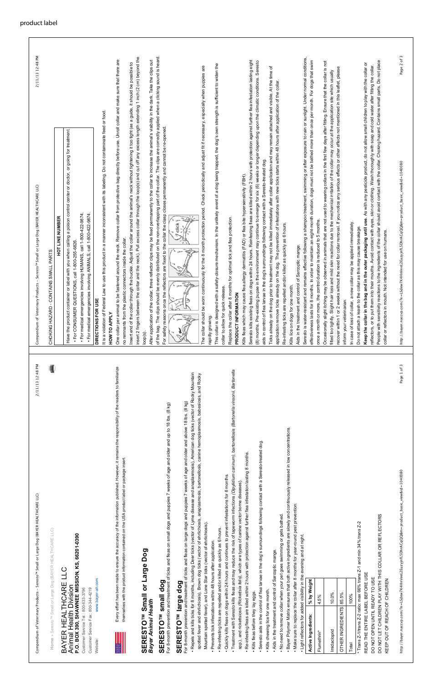Compendium of Veterinary Products - Seresto™ Small or Large Dog (BAYER HEALTHCARE LLC) Compendium of Veterinary Products - Seresto<sup>rw</sup> Small or Large Dog (BAYER HEALTHCA

http://bayer.naccvp.com/?e=LSdew7K4HnVeeL2EuzyjnfL5DhrACqQQ&m=product\_basic\_view&id=1040080 http://bayer.naccvp.com/?e=LSdew7K4HnVeeL2EuzyjnfL5DhrACqQQ&m=product\_basi

Home » Seresto<sup>TM</sup> Small or Large Dog (BAYER HEALTHCARE LLC) **Home** » Seresto™ Small or Large Dog (BAYER HEALTHCARE LLC)

#### BAYER HEALTHCARE LLC<br>Animal Health Division<br>P.O. BOX 390, SHAWNEE MISSION, KS, 66201-0390 **P.O. BOX 390, SHAWNEE MISSION, KS, 66201-0390** BAYER HEALTHCARE LLC Animal Health Division

Customer Service Tel: 800-633-3796 Customer Service Fax: 800-344-4219 Customer Service Tel.: 800-633-3796 Customer Service Fax: 800-344-4219

Website:

www.bayer-ah.com Website: www.bayer-ah.com



#### SERESTO<sup>TM</sup> Small or Large Dog<br>Bayer Animal Health **SERESTO™ Small or Large Dog** SERESTO<sup>TM</sup> small dog *Bayer Animal Health*

• Repels and kills ticks for 8 months, including Deer ticks (vector of Lyme disease and anaplasmosis), American dog ticks (vector of Rocky Mountain spotted fever and ehrlichiosis), Brown dog ticks (vector of ehrlichiosis, anaplasmosis, bartonellosis, canine hemoplasmosis, babesiosis, and Rocky For 8-month prevention and treatment of ticks and fleas on large dogs and puppies 7 weeks of age and older and above 18 lbs. (8 kg)  ${\sf SERESTO}^{\sf TM}$  large  ${\sf dog}$ <br>For 8-month prevention and treatment of ticks and fleas on large dogs and pup · Repels and kills ticks for 8 months, including Deer ticks (vector of Lyme disea spotted fever and ehrlichiosis), Brown dog ticks (vector of ehrlichiosis, anapla

For 8-month prevention and treatment of ticks and fleas on small dogs and puppies 7 weeks of age and older and up to 18 lbs. (8 kg) For 8-month prevention and treatment of ticks and fleas on small dogs and pup **SERESTO™ small dog**

# **SERESTO™ large dog**

- Mountain spotted fever), and Lone Star ticks (vector of ehrlichiosis). Mountain spotted fever), and Lone Star ticks (vector of ehrlichiosis). · Prevents tick infestations within 48 hours after application.
	- . Re-infesting ticks are repelled and/or killed as quickly as 6 hours. • Prevents tick infestations within 48 hours after application.
- · Quickly kills fleas on dogs within 24 hours and continues to prevent infestatio • Re-infesting ticks are repelled and/or killed as quickly as 6 hours.
- Treatment with Seresto kills fleas and may reduce the risk of tapeworm infections *(Dipylidium caninum)*, bartonellosis *(Bartonella vinsonii, Bartonella* • Quickly kills fleas on dogs within 24 hours and continues to prevent infestations for 8 months. . Treatment with Seresto kills fleas and may reduce the risk of tapeworm infect
	- Re-infesting fleas are killed within 2 hours with protection against further flea infestation lasting 8 months. spp.), and rickettsiosis *(Rickettsia felis)*, which are types of canine vector borne diseases). spp.), and rickettsiosis (Rickettsia felis), which are types of canine vector bor · Re-infesting fleas are killed within 2 hours with protection against further flea
		- . Kills fleas before they lay eggs. • Kills fleas before they lay eggs.
- Seresto aids in the control of flea larvae in the dog's surroundings following contact with a Seresto-treated dog. . Seresto aids in the control of flea larvae in the dog's surroundings following . Kills chewing lice for one month.
	- Kills chewing lice for one month.
- . Aids in the treatment and control of Sarcoptic mange. • Aids in the treatment and control of Sarcoptic mange.
- . No need to remove collar when your pet goes swimming or gets bathed • No need to remove collar when your pet goes swimming or gets bathed.
- Bayer Polymer Matrix ensures that both active ingredients are slowly and continuously released in low concentrations. • Make sure to replace the collar after 8 months for year-round pest prevention. . Bayer Polymer Matrix ensures that both active ingredients are slowly and cor . Make sure to replace the collar after 8 months for year-round pest prevention
	- . Light reflectors for added visibility in the evening and at night. • Light reflectors for added visibility in the evening and at night.

 $*$  Trans Z-1/trans Z-2 ratio: max 66% trans Z-1 and min 34% trans Z-2  $^*$  Trans Z-1/trans Z-2 ratio: max 66% trans Z-1 and min 34% trans Z-2 READ THE ENTIRE LABEL BEFORE USE READ THE ENTIRE LABEL BEFORE USE

DO NOT OPEN UNTIL READY TO USE DO NOT OPEN UNTIL READY TO USE

DO NOT LET CHILDREN PLAY WITH THIS COLLAR OR REFLECTORS DO NOT LET CHILDREN PLAY WITH THIS COLLAR OR REFLECTORS KEEP OUT OF REACH OF CHILDREN KEEP OUT OF REACH OF CHILDREN

| Active Ingredients:     | % by Weight |
|-------------------------|-------------|
| Flumethrin*             | 4.5%        |
| Imidacloprid            | 10.0%       |
| OTHER INGREDIENTS 85.5% |             |
| Total                   | 100%        |

| 2/11/13 12:48 PM<br>og (BAYER HEALTHCARE LLC)<br>tterinary Products - Seresto <sup>rw</sup> Small or Large D                                                                                                              | 2/11/13 12:48 PM<br>Compendium of Veterinary Products - Seresto <sup>rw</sup> Small or Large Dog (BAYER HEALTHCARE LLC)                                                                                                                                                                                                        |
|---------------------------------------------------------------------------------------------------------------------------------------------------------------------------------------------------------------------------|--------------------------------------------------------------------------------------------------------------------------------------------------------------------------------------------------------------------------------------------------------------------------------------------------------------------------------|
| RE LLC<br>o <sup>™</sup> Small or Large Dog (BAYER HEALTHCA                                                                                                                                                               | TAINS SMALL PARTS<br>- CON<br>CHOKING HAZARD                                                                                                                                                                                                                                                                                   |
|                                                                                                                                                                                                                           | <b>HOT LINE NUMBER</b>                                                                                                                                                                                                                                                                                                         |
| <b>JTT</b><br><b>EALTHCARE</b><br>alth Division                                                                                                                                                                           | or label with you when calling a poison control center or doctor, or going for treatment.<br>Have the product container                                                                                                                                                                                                        |
| SHAWNEE MISSION, KS, 66201-0390                                                                                                                                                                                           | TIONS, call 1-800-255-6826<br>. For CONSUMER QUES                                                                                                                                                                                                                                                                              |
| Tel: 800-633-3796                                                                                                                                                                                                         | · For medical emergencies involving ANIMALS, call 1-800-422-9874<br>· For medical emergencies involving HUMANS, call 1-800-422-9874                                                                                                                                                                                            |
| Fax: 800-344-4219                                                                                                                                                                                                         | DIRECTIONS FOR USE                                                                                                                                                                                                                                                                                                             |
| www.bayer-ah.com                                                                                                                                                                                                          | It is a violation of Federal Law to use this product in a manner inconsistent with its labeling. Do not contaminate feed or food.                                                                                                                                                                                              |
| Every effort has been made to ensure the accuracy of the information published. However, it remains the responsibility of the readers to familiarize                                                                      | fastened around the neck. Remove collar from protective bag directly before use. Unroll collar and make sure that there are<br>One collar per animal to be<br>HOW TO APPLY                                                                                                                                                     |
| themselves with the product information contained on the USA product label or package insert.                                                                                                                             | no remnants from the plastic connectors inside the collar.                                                                                                                                                                                                                                                                     |
|                                                                                                                                                                                                                           | collar and the neck). Pull excess collar through the loop(s) and cut off any excess length extending 1 inch (2 cm) beyond the<br>Insert end of the collar through the buckle. Adjust the collar around the animal's neck without tightening it too tight (as a guide, it should be possible to<br>insert 2 fingers between the |
| Tw Small or Large Dog                                                                                                                                                                                                     | loop(s).                                                                                                                                                                                                                                                                                                                       |
| al Health                                                                                                                                                                                                                 | After application of the collar, three reflector clips may be fixed permanently to the collar to increase the animal's visibility in the dark. Take the clips out<br>of the bag. The clips should                                                                                                                              |
| small dog<br>M                                                                                                                                                                                                            | be evenly distributed on the non-overlapping part of the collar. The clips are correctly applied when a clicking sound is heard.<br>reflectors are fixed to the collar the clasp closes permanently and cannot be re-opened.<br>For safety reasons once the                                                                    |
| ention and treatment of ticks and fleas on small dogs and puppies 7 weeks of age and older and up to 18 lbs. (8 kg)                                                                                                       |                                                                                                                                                                                                                                                                                                                                |
| ention and treatment of ticks and fleas on large dogs and puppies 7 weeks of age and older and above 18 lbs. (8 kg)<br>T <sup>M</sup> large dog                                                                           | click §                                                                                                                                                                                                                                                                                                                        |
| s ticks for 8 months, including Deer ticks (vector of Lyme disease and anaplasmosis), American dog ticks (vector of Rocky Mountain                                                                                        |                                                                                                                                                                                                                                                                                                                                |
| nd ehrlichiosis), Brown dog ticks (vector of ehrlichiosis, anaplasmosis, bartonellosis, canine hemoplasmosis, babesiosis, and Rocky                                                                                       |                                                                                                                                                                                                                                                                                                                                |
| ed fever), and Lone Star ticks (vector of ehrlichiosis).                                                                                                                                                                  | The collar should be worn continuously for the 8 month protection period. Check periodically and adjust fit if necessary, especially when puppies are<br>rapidly growing.                                                                                                                                                      |
| festations within 48 hours after applicatio                                                                                                                                                                               | a safety-closure mechanism. In the unlikely event of a dog being trapped, the dog's own strength is sufficient to widen the<br>This collar is designed with                                                                                                                                                                    |
| 6 hours.<br>ks are repelled and/or killed as quickly as                                                                                                                                                                   | collar to allow for quick release.                                                                                                                                                                                                                                                                                             |
| Seresto kills fleas and may reduce the risk of tapeworm infections (Dipylidium caninum), bartonellosis (Bartonella vinsonii, Bartonella<br>as on dogs within 24 hours and continues to prevent infestations for 8 months. | Replace the collar after 8 months for optimal tick and flea protection.                                                                                                                                                                                                                                                        |
| of canine vector borne diseases)<br>ttsiosis (Rickettsia felis), which are types                                                                                                                                          | PRODUCT INFORMATION                                                                                                                                                                                                                                                                                                            |
| as are killed within 2 hours with protection against further flea infestation lasting 8 months                                                                                                                            | Kills fleas which may cause flea allergy dermatitis (FAD) or flea bite hypersensitivity (FBH).                                                                                                                                                                                                                                 |
| e they lay eggs.                                                                                                                                                                                                          | Seresto kills existing fleas on dogs within 24 hours. Reinfesting fleas are killed within 2 hours with protection against further flea infestation lasting eight                                                                                                                                                               |
| oundings following contact with a Seresto-treated dog.<br>the control of flea larvae in the dog's sun                                                                                                                     | (8) months. Pre-existing pupae in the environment may continue to emerge for six (6) weeks or longer depending upon the climatic conditions. Seresto<br>aids in control of flea larvae in the dog's surroundings following contact with a Seresto-treated dog.                                                                 |
| ce for one month.                                                                                                                                                                                                         | Ticks already on the dog prior to treatment may not be killed immediately after collar application and may remain attached and visible. At the time of                                                                                                                                                                         |
| tment and control of Sarcoptic mange.                                                                                                                                                                                     | application remove ticks already on the dog. The prevention of infestations with new ticks starts within 48 hours after application of the collar                                                                                                                                                                              |
| Matrix ensures that both active ingredients are slowly and continuously released in low concentrations<br>or gets bathed.<br>nove collar when your pet goes swimming                                                      | Re-infesting ticks are repelled and/or killed as quickly as 6 hours.                                                                                                                                                                                                                                                           |
| splace the collar after 8 months for year-round pest prevention.                                                                                                                                                          | Kills lice on dogs for one month.                                                                                                                                                                                                                                                                                              |
| for added visibility in the evening and at night.                                                                                                                                                                         | Aids in the treatment and control of Sarcoptic mange.                                                                                                                                                                                                                                                                          |
| % by Weight<br>n's                                                                                                                                                                                                        | Seresto is water-resistant and remains effective following a shampoo treatment, swimming or after exposure to rain or sunlight. Under normal conditions,<br>effectiveness lasts for 8 months. In order to maintain an eight-month duration, dogs must not be bathed more than once per month. For dogs that swim               |
| 4.5%                                                                                                                                                                                                                      | once a month or more, the control duration is reduced to 5 months                                                                                                                                                                                                                                                              |
|                                                                                                                                                                                                                           | Occasionally slight itching may be observed in animals that are not used to wearing collars in the first few days after fitting. Ensure that the collar is not                                                                                                                                                                 |
| 10.0%                                                                                                                                                                                                                     | fitted too tightly. Slight hair loss and mild skin reactions due to the mechanical irritation of the collar may occur at the application site which usually                                                                                                                                                                    |
| 85.5%<br><b>DIENTS</b>                                                                                                                                                                                                    | recover within 1 or 2 weeks without the need for collar removal. If you notice any serious effects or other effects not mentioned in this leaflet, please                                                                                                                                                                      |
| 100%                                                                                                                                                                                                                      | In case of loss of collar, a new collar may be applied immediately.<br>inform your veterinarian.                                                                                                                                                                                                                               |
| % trans $Z - 2$<br>Z-2 ratio: max 66% trans Z-1 and min 34                                                                                                                                                                | collar as this may cause breakage<br>Do not attach a leash to the                                                                                                                                                                                                                                                              |
| RE LABEL BEFORE USE                                                                                                                                                                                                       | and in the outer packaging until use. As with any pesticide product, do not allow small children to play with the collar or<br>Keep the collar in the bag                                                                                                                                                                      |
| JNTIL READY TO USE                                                                                                                                                                                                        | reflectors, or to put them into their mouths. Avoid contact with eyes, skin or clothing. Wash thoroughly with soap and cold water after fitting the collar.                                                                                                                                                                    |
| <b>REFLECTORS</b><br>IILDREN PLAY WITH THIS COLLAR OR                                                                                                                                                                     | People with sensitivity reactions to the ingredients of the collar should avoid contact with the collar. Choking hazard. Contains small parts. Do not place                                                                                                                                                                    |
| EACH OF CHILDREN                                                                                                                                                                                                          | Not intended for use on humans.<br>collar or reflectors in mouth.                                                                                                                                                                                                                                                              |
| Page 1 of 3<br>p.com/?e=LSdew7K4HnVeeL2EuzyjnfL5DhrACqQQ&m=product_basic_view&id=1040080                                                                                                                                  | Page 2 of 3<br>http://bayer.naccvp.com/?e=LSdew7K4HnVeeL2EuzyjnfL5DhrACqQQ&m=product_basic_view&id=1040080                                                                                                                                                                                                                     |
|                                                                                                                                                                                                                           |                                                                                                                                                                                                                                                                                                                                |